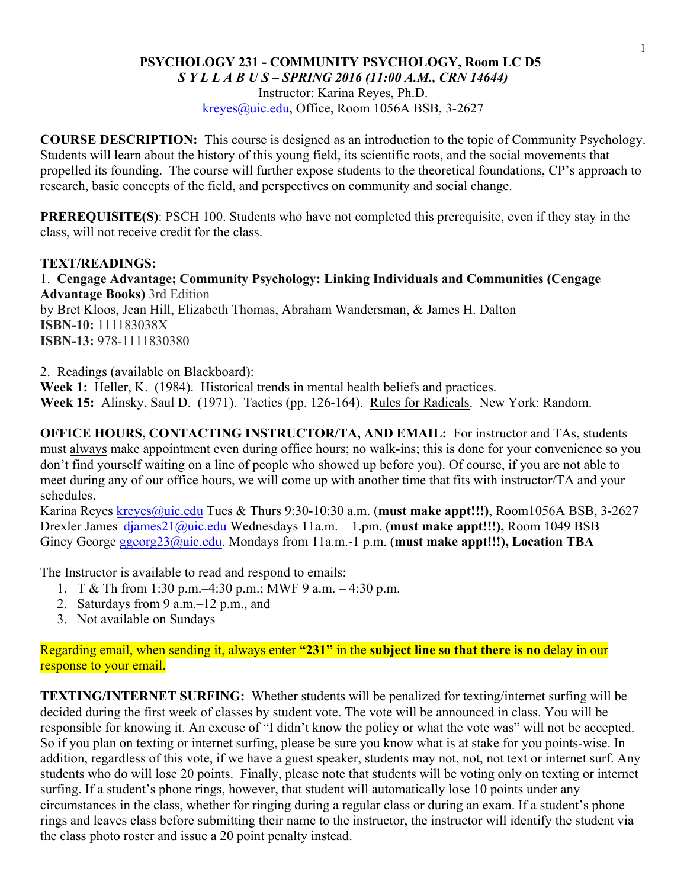#### **PSYCHOLOGY 231 - COMMUNITY PSYCHOLOGY, Room LC D5** *S Y L L A B U S – SPRING 2016 (11:00 A.M., CRN 14644)*

Instructor: Karina Reyes, Ph.D. kreyes@uic.edu, Office, Room 1056A BSB, 3-2627

**COURSE DESCRIPTION:** This course is designed as an introduction to the topic of Community Psychology. Students will learn about the history of this young field, its scientific roots, and the social movements that propelled its founding. The course will further expose students to the theoretical foundations, CP's approach to research, basic concepts of the field, and perspectives on community and social change.

**PREREQUISITE(S)**: PSCH 100. Students who have not completed this prerequisite, even if they stay in the class, will not receive credit for the class.

#### **TEXT/READINGS:**

1. **Cengage Advantage; Community Psychology: Linking Individuals and Communities (Cengage Advantage Books)** 3rd Edition by Bret Kloos, Jean Hill, Elizabeth Thomas, Abraham Wandersman, & James H. Dalton **ISBN-10:** 111183038X **ISBN-13:** 978-1111830380

2. Readings (available on Blackboard):

Week 1: Heller, K. (1984). Historical trends in mental health beliefs and practices. **Week 15:** Alinsky, Saul D. (1971). Tactics (pp. 126-164). Rules for Radicals. New York: Random.

**OFFICE HOURS, CONTACTING INSTRUCTOR/TA, AND EMAIL:** For instructor and TAs, students must always make appointment even during office hours; no walk-ins; this is done for your convenience so you don't find yourself waiting on a line of people who showed up before you). Of course, if you are not able to meet during any of our office hours, we will come up with another time that fits with instructor/TA and your schedules.

Karina Reyes kreyes@uic.edu Tues & Thurs 9:30-10:30 a.m. (**must make appt!!!)**, Room1056A BSB, 3-2627 Drexler James djames21@uic.edu Wednesdays 11a.m. – 1.pm. (**must make appt!!!),** Room 1049 BSB Gincy George ggeorg23@uic.edu. Mondays from 11a.m.-1 p.m. (**must make appt!!!), Location TBA**

The Instructor is available to read and respond to emails:

- 1. T & Th from 1:30 p.m. -4:30 p.m.; MWF 9 a.m.  $-4:30$  p.m.
- 2. Saturdays from 9 a.m.–12 p.m., and
- 3. Not available on Sundays

Regarding email, when sending it, always enter **"231"** in the **subject line so that there is no** delay in our response to your email.

**TEXTING/INTERNET SURFING:** Whether students will be penalized for texting/internet surfing will be decided during the first week of classes by student vote. The vote will be announced in class. You will be responsible for knowing it. An excuse of "I didn't know the policy or what the vote was" will not be accepted. So if you plan on texting or internet surfing, please be sure you know what is at stake for you points-wise. In addition, regardless of this vote, if we have a guest speaker, students may not, not, not text or internet surf. Any students who do will lose 20 points. Finally, please note that students will be voting only on texting or internet surfing. If a student's phone rings, however, that student will automatically lose 10 points under any circumstances in the class, whether for ringing during a regular class or during an exam. If a student's phone rings and leaves class before submitting their name to the instructor, the instructor will identify the student via the class photo roster and issue a 20 point penalty instead.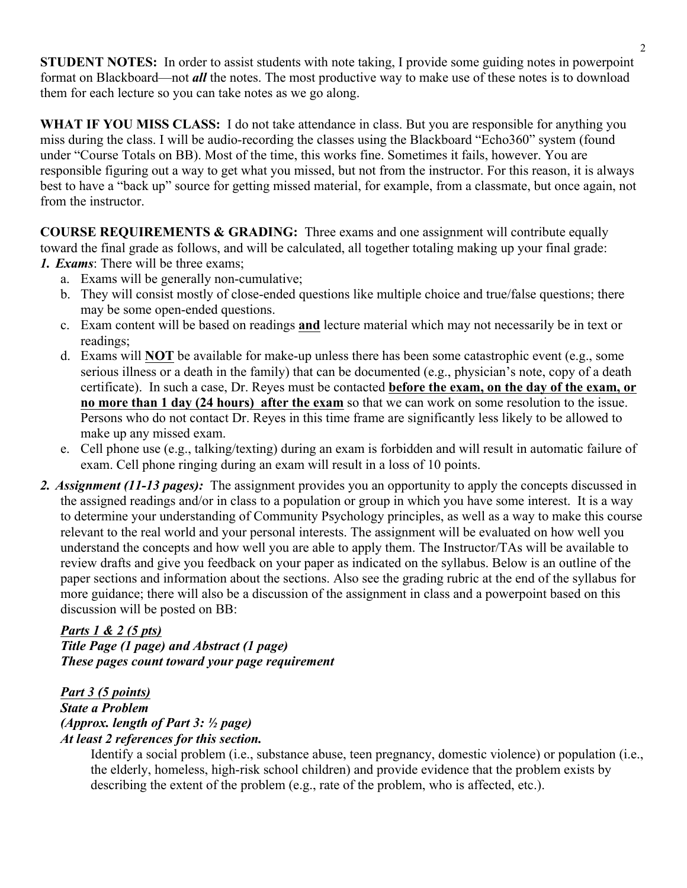**STUDENT NOTES:** In order to assist students with note taking, I provide some guiding notes in powerpoint format on Blackboard—not *all* the notes. The most productive way to make use of these notes is to download them for each lecture so you can take notes as we go along.

**WHAT IF YOU MISS CLASS:** I do not take attendance in class. But you are responsible for anything you miss during the class. I will be audio-recording the classes using the Blackboard "Echo360" system (found under "Course Totals on BB). Most of the time, this works fine. Sometimes it fails, however. You are responsible figuring out a way to get what you missed, but not from the instructor. For this reason, it is always best to have a "back up" source for getting missed material, for example, from a classmate, but once again, not from the instructor.

**COURSE REQUIREMENTS & GRADING:** Three exams and one assignment will contribute equally toward the final grade as follows, and will be calculated, all together totaling making up your final grade: *1. Exams*: There will be three exams;

- a. Exams will be generally non-cumulative;
- b. They will consist mostly of close-ended questions like multiple choice and true/false questions; there may be some open-ended questions.
- c. Exam content will be based on readings **and** lecture material which may not necessarily be in text or readings;
- d. Exams will **NOT** be available for make-up unless there has been some catastrophic event (e.g., some serious illness or a death in the family) that can be documented (e.g., physician's note, copy of a death certificate). In such a case, Dr. Reyes must be contacted **before the exam, on the day of the exam, or no more than 1 day (24 hours) after the exam** so that we can work on some resolution to the issue. Persons who do not contact Dr. Reyes in this time frame are significantly less likely to be allowed to make up any missed exam.
- e. Cell phone use (e.g., talking/texting) during an exam is forbidden and will result in automatic failure of exam. Cell phone ringing during an exam will result in a loss of 10 points.
- *2. Assignment (11-13 pages):* The assignment provides you an opportunity to apply the concepts discussed in the assigned readings and/or in class to a population or group in which you have some interest. It is a way to determine your understanding of Community Psychology principles, as well as a way to make this course relevant to the real world and your personal interests. The assignment will be evaluated on how well you understand the concepts and how well you are able to apply them. The Instructor/TAs will be available to review drafts and give you feedback on your paper as indicated on the syllabus. Below is an outline of the paper sections and information about the sections. Also see the grading rubric at the end of the syllabus for more guidance; there will also be a discussion of the assignment in class and a powerpoint based on this discussion will be posted on BB:

# *Parts 1 & 2 (5 pts)*

*Title Page (1 page) and Abstract (1 page) These pages count toward your page requirement*

#### *Part 3 (5 points) State a Problem (Approx. length of Part 3: ½ page) At least 2 references for this section.*

Identify a social problem (i.e., substance abuse, teen pregnancy, domestic violence) or population (i.e., the elderly, homeless, high-risk school children) and provide evidence that the problem exists by describing the extent of the problem (e.g., rate of the problem, who is affected, etc.).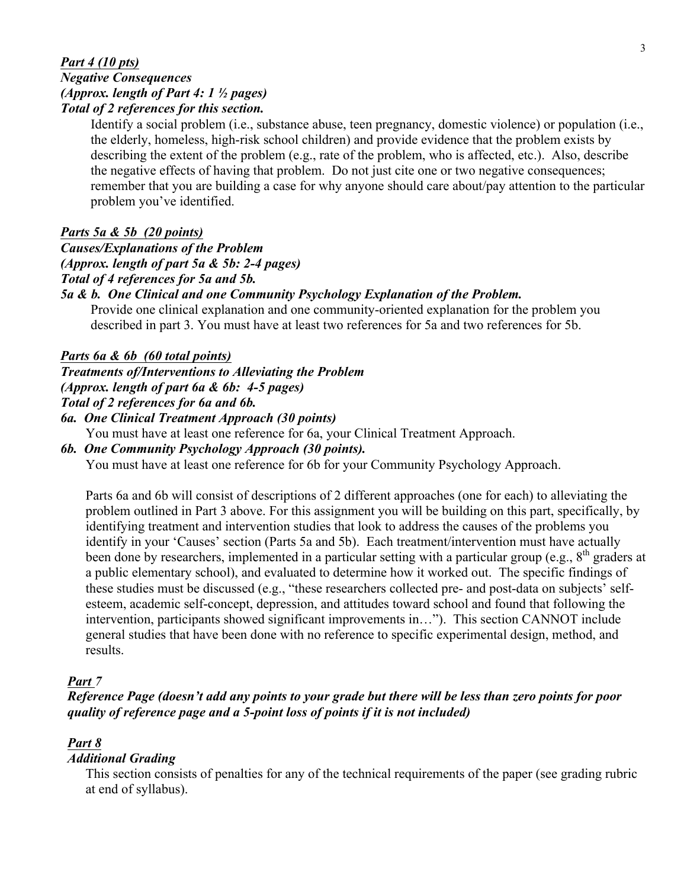#### 3

#### *Part 4 (10 pts) Negative Consequences (Approx. length of Part 4: 1 ½ pages) Total of 2 references for this section.*

Identify a social problem (i.e., substance abuse, teen pregnancy, domestic violence) or population (i.e., the elderly, homeless, high-risk school children) and provide evidence that the problem exists by describing the extent of the problem (e.g., rate of the problem, who is affected, etc.). Also, describe the negative effects of having that problem. Do not just cite one or two negative consequences; remember that you are building a case for why anyone should care about/pay attention to the particular problem you've identified.

#### *Parts 5a & 5b (20 points)*

*Causes/Explanations of the Problem (Approx. length of part 5a & 5b: 2-4 pages) Total of 4 references for 5a and 5b.*

#### *5a & b. One Clinical and one Community Psychology Explanation of the Problem.*

Provide one clinical explanation and one community-oriented explanation for the problem you described in part 3. You must have at least two references for 5a and two references for 5b.

#### *Parts 6a & 6b (60 total points)*

*Treatments of/Interventions to Alleviating the Problem*

*(Approx. length of part 6a & 6b: 4-5 pages)*

*Total of 2 references for 6a and 6b.*

#### *6a. One Clinical Treatment Approach (30 points)*

You must have at least one reference for 6a, your Clinical Treatment Approach.

#### *6b. One Community Psychology Approach (30 points).*

You must have at least one reference for 6b for your Community Psychology Approach.

Parts 6a and 6b will consist of descriptions of 2 different approaches (one for each) to alleviating the problem outlined in Part 3 above. For this assignment you will be building on this part, specifically, by identifying treatment and intervention studies that look to address the causes of the problems you identify in your 'Causes' section (Parts 5a and 5b). Each treatment/intervention must have actually been done by researchers, implemented in a particular setting with a particular group (e.g.,  $8<sup>th</sup>$  graders at a public elementary school), and evaluated to determine how it worked out. The specific findings of these studies must be discussed (e.g., "these researchers collected pre- and post-data on subjects' selfesteem, academic self-concept, depression, and attitudes toward school and found that following the intervention, participants showed significant improvements in…"). This section CANNOT include general studies that have been done with no reference to specific experimental design, method, and results.

#### *Part 7*

*Reference Page (doesn't add any points to your grade but there will be less than zero points for poor quality of reference page and a 5-point loss of points if it is not included)*

### *Part 8*

### *Additional Grading*

This section consists of penalties for any of the technical requirements of the paper (see grading rubric at end of syllabus).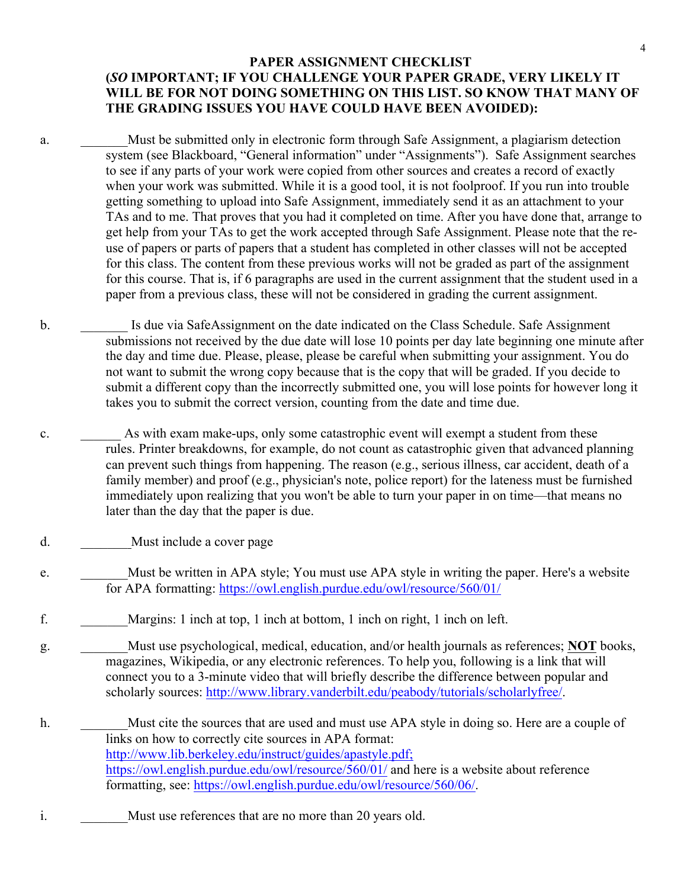#### **PAPER ASSIGNMENT CHECKLIST (***SO* **IMPORTANT; IF YOU CHALLENGE YOUR PAPER GRADE, VERY LIKELY IT WILL BE FOR NOT DOING SOMETHING ON THIS LIST. SO KNOW THAT MANY OF THE GRADING ISSUES YOU HAVE COULD HAVE BEEN AVOIDED):**

- a. Must be submitted only in electronic form through Safe Assignment, a plagiarism detection system (see Blackboard, "General information" under "Assignments"). Safe Assignment searches to see if any parts of your work were copied from other sources and creates a record of exactly when your work was submitted. While it is a good tool, it is not foolproof. If you run into trouble getting something to upload into Safe Assignment, immediately send it as an attachment to your TAs and to me. That proves that you had it completed on time. After you have done that, arrange to get help from your TAs to get the work accepted through Safe Assignment. Please note that the reuse of papers or parts of papers that a student has completed in other classes will not be accepted for this class. The content from these previous works will not be graded as part of the assignment for this course. That is, if 6 paragraphs are used in the current assignment that the student used in a paper from a previous class, these will not be considered in grading the current assignment.
- b. **Is due via SafeAssignment on the date indicated on the Class Schedule. Safe Assignment** submissions not received by the due date will lose 10 points per day late beginning one minute after the day and time due. Please, please, please be careful when submitting your assignment. You do not want to submit the wrong copy because that is the copy that will be graded. If you decide to submit a different copy than the incorrectly submitted one, you will lose points for however long it takes you to submit the correct version, counting from the date and time due.
- c. As with exam make-ups, only some catastrophic event will exempt a student from these rules. Printer breakdowns, for example, do not count as catastrophic given that advanced planning can prevent such things from happening. The reason (e.g., serious illness, car accident, death of a family member) and proof (e.g., physician's note, police report) for the lateness must be furnished immediately upon realizing that you won't be able to turn your paper in on time—that means no later than the day that the paper is due.
- d. Must include a cover page
- e. Must be written in APA style; You must use APA style in writing the paper. Here's a website for APA formatting: https://owl.english.purdue.edu/owl/resource/560/01/
- f. \_\_\_\_\_\_\_Margins: 1 inch at top, 1 inch at bottom, 1 inch on right, 1 inch on left.
- g. \_\_\_\_\_\_\_Must use psychological, medical, education, and/or health journals as references; **NOT** books, magazines, Wikipedia, or any electronic references. To help you, following is a link that will connect you to a 3-minute video that will briefly describe the difference between popular and scholarly sources: http://www.library.vanderbilt.edu/peabody/tutorials/scholarlyfree/.
- h. Must cite the sources that are used and must use APA style in doing so. Here are a couple of links on how to correctly cite sources in APA format: http://www.lib.berkeley.edu/instruct/guides/apastyle.pdf; https://owl.english.purdue.edu/owl/resource/560/01/ and here is a website about reference formatting, see: https://owl.english.purdue.edu/owl/resource/560/06/.
- i. Must use references that are no more than 20 years old.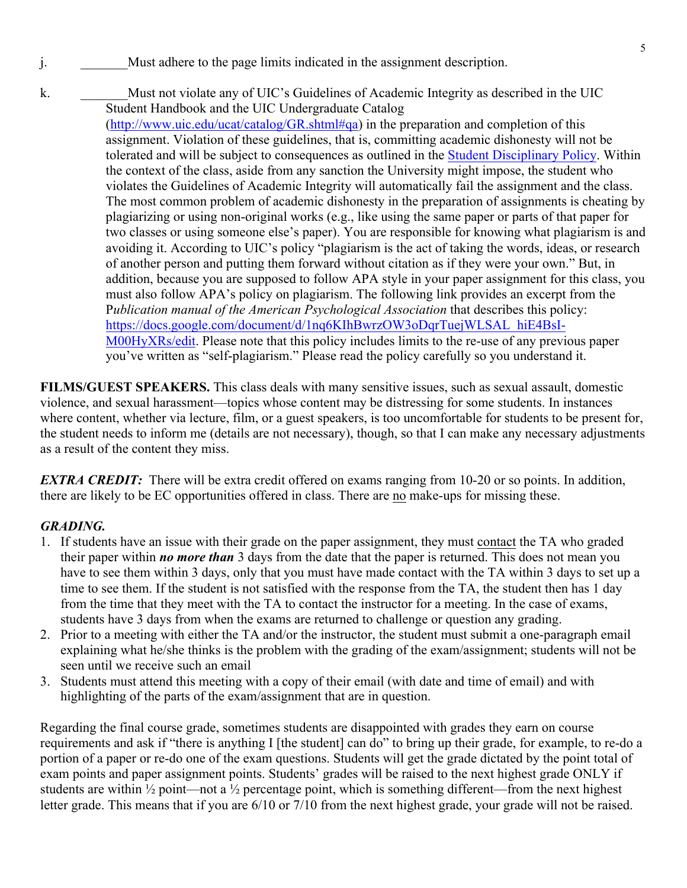- j. Must adhere to the page limits indicated in the assignment description.
- k. Must not violate any of UIC's Guidelines of Academic Integrity as described in the UIC Student Handbook and the UIC Undergraduate Catalog (http://www.uic.edu/ucat/catalog/GR.shtml#qa) in the preparation and completion of this assignment. Violation of these guidelines, that is, committing academic dishonesty will not be tolerated and will be subject to consequences as outlined in the Student Disciplinary Policy. Within the context of the class, aside from any sanction the University might impose, the student who violates the Guidelines of Academic Integrity will automatically fail the assignment and the class. The most common problem of academic dishonesty in the preparation of assignments is cheating by plagiarizing or using non-original works (e.g., like using the same paper or parts of that paper for two classes or using someone else's paper). You are responsible for knowing what plagiarism is and avoiding it. According to UIC's policy "plagiarism is the act of taking the words, ideas, or research of another person and putting them forward without citation as if they were your own." But, in addition, because you are supposed to follow APA style in your paper assignment for this class, you must also follow APA's policy on plagiarism. The following link provides an excerpt from the P*ublication manual of the American Psychological Association* that describes this policy: https://docs.google.com/document/d/1nq6KIhBwrzOW3oDqrTuejWLSAL\_hiE4BsI-M00HyXRs/edit. Please note that this policy includes limits to the re-use of any previous paper you've written as "self-plagiarism." Please read the policy carefully so you understand it.

**FILMS/GUEST SPEAKERS.** This class deals with many sensitive issues, such as sexual assault, domestic violence, and sexual harassment—topics whose content may be distressing for some students. In instances where content, whether via lecture, film, or a guest speakers, is too uncomfortable for students to be present for, the student needs to inform me (details are not necessary), though, so that I can make any necessary adjustments as a result of the content they miss.

*EXTRA CREDIT:* There will be extra credit offered on exams ranging from 10-20 or so points. In addition, there are likely to be EC opportunities offered in class. There are no make-ups for missing these.

### *GRADING.*

- 1. If students have an issue with their grade on the paper assignment, they must contact the TA who graded their paper within *no more than* 3 days from the date that the paper is returned. This does not mean you have to see them within 3 days, only that you must have made contact with the TA within 3 days to set up a time to see them. If the student is not satisfied with the response from the TA, the student then has 1 day from the time that they meet with the TA to contact the instructor for a meeting. In the case of exams, students have 3 days from when the exams are returned to challenge or question any grading.
- 2. Prior to a meeting with either the TA and/or the instructor, the student must submit a one-paragraph email explaining what he/she thinks is the problem with the grading of the exam/assignment; students will not be seen until we receive such an email
- 3. Students must attend this meeting with a copy of their email (with date and time of email) and with highlighting of the parts of the exam/assignment that are in question.

Regarding the final course grade, sometimes students are disappointed with grades they earn on course requirements and ask if "there is anything I [the student] can do" to bring up their grade, for example, to re-do a portion of a paper or re-do one of the exam questions. Students will get the grade dictated by the point total of exam points and paper assignment points. Students' grades will be raised to the next highest grade ONLY if students are within  $\frac{1}{2}$  point—not a  $\frac{1}{2}$  percentage point, which is something different—from the next highest letter grade. This means that if you are 6/10 or 7/10 from the next highest grade, your grade will not be raised.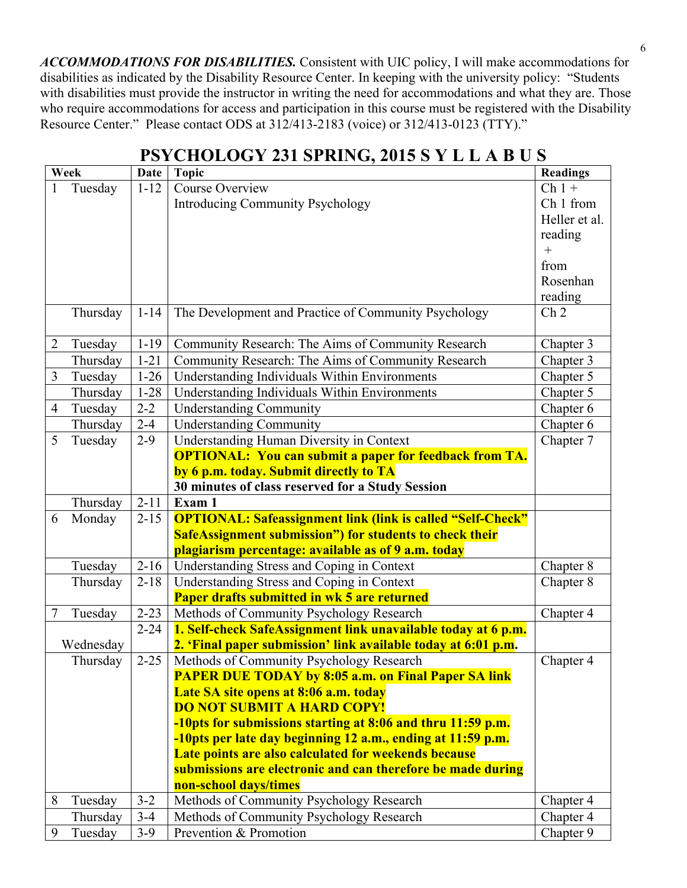*ACCOMMODATIONS FOR DISABILITIES.* Consistent with UIC policy, I will make accommodations for disabilities as indicated by the Disability Resource Center. In keeping with the university policy: "Students with disabilities must provide the instructor in writing the need for accommodations and what they are. Those who require accommodations for access and participation in this course must be registered with the Disability Resource Center." Please contact ODS at 312/413-2183 (voice) or 312/413-0123 (TTY)."

| Week                       | Date     | Topic                                                             | <b>Readings</b> |
|----------------------------|----------|-------------------------------------------------------------------|-----------------|
| Tuesday                    | $1 - 12$ | Course Overview                                                   | $Ch1+$          |
|                            |          | Introducing Community Psychology                                  | Ch 1 from       |
|                            |          |                                                                   | Heller et al.   |
|                            |          |                                                                   | reading         |
|                            |          |                                                                   |                 |
|                            |          |                                                                   | from            |
|                            |          |                                                                   | Rosenhan        |
|                            |          |                                                                   | reading         |
| Thursday                   | $1 - 14$ | The Development and Practice of Community Psychology              | Ch <sub>2</sub> |
| Tuesday                    | $1 - 19$ | Community Research: The Aims of Community Research                | Chapter 3       |
| Thursday                   | $1 - 21$ | Community Research: The Aims of Community Research                | Chapter 3       |
| Tuesday                    | $1-26$   | Understanding Individuals Within Environments                     | Chapter 5       |
| Thursday                   | $1 - 28$ | Understanding Individuals Within Environments                     | Chapter 5       |
| $\overline{4}$<br>Tuesday  | $2 - 2$  | <b>Understanding Community</b>                                    | Chapter 6       |
| Thursday                   | $2 - 4$  | <b>Understanding Community</b>                                    | Chapter 6       |
| $5\overline{)}$<br>Tuesday | $2-9$    | Understanding Human Diversity in Context                          | Chapter 7       |
|                            |          | <b>OPTIONAL: You can submit a paper for feedback from TA.</b>     |                 |
|                            |          | by 6 p.m. today. Submit directly to TA                            |                 |
|                            |          | 30 minutes of class reserved for a Study Session                  |                 |
| Thursday                   | $2 - 11$ | Exam 1                                                            |                 |
| 6<br>Monday                |          | 2-15   OPTIONAL: Safeassignment link (link is called "Self-Check" |                 |
|                            |          | <b>SafeAssignment submission") for students to check their</b>    |                 |
|                            |          | plagiarism percentage: available as of 9 a.m. today               |                 |
| Tuesday                    |          | 2-16   Understanding Stress and Coping in Context                 | Chapter 8       |
| Thursday                   |          | 2-18   Understanding Stress and Coping in Context                 | Chapter 8       |
|                            |          | <b>Paper drafts submitted in wk 5 are returned</b>                |                 |
| Tuesday                    | $2 - 23$ | Methods of Community Psychology Research                          | Chapter 4       |
|                            | $2 - 24$ | 1. Self-check SafeAssignment link unavailable today at 6 p.m.     |                 |
| Wednesday                  |          | 2. 'Final paper submission' link available today at 6:01 p.m.     |                 |
| Thursday                   | $2 - 25$ | Methods of Community Psychology Research                          | Chapter 4       |
|                            |          | <b>PAPER DUE TODAY by 8:05 a.m. on Final Paper SA link</b>        |                 |
|                            |          | Late SA site opens at 8:06 a.m. today                             |                 |
|                            |          | <b>DO NOT SUBMIT A HARD COPY!</b>                                 |                 |
|                            |          | -10pts for submissions starting at 8:06 and thru 11:59 p.m.       |                 |
|                            |          | -10pts per late day beginning 12 a.m., ending at 11:59 p.m.       |                 |
|                            |          | Late points are also calculated for weekends because              |                 |
|                            |          | submissions are electronic and can therefore be made during       |                 |
|                            |          | non-school days/times                                             |                 |
| 8<br>Tuesday               | $3 - 2$  | Methods of Community Psychology Research                          | Chapter 4       |
| Thursday                   | $3-4$    | Methods of Community Psychology Research                          | Chapter 4       |
| 9<br>Tuesday               | $3-9$    | Prevention & Promotion                                            | Chapter 9       |

## **PSYCHOLOGY 231 SPRING, 2015 S Y L L A B U S**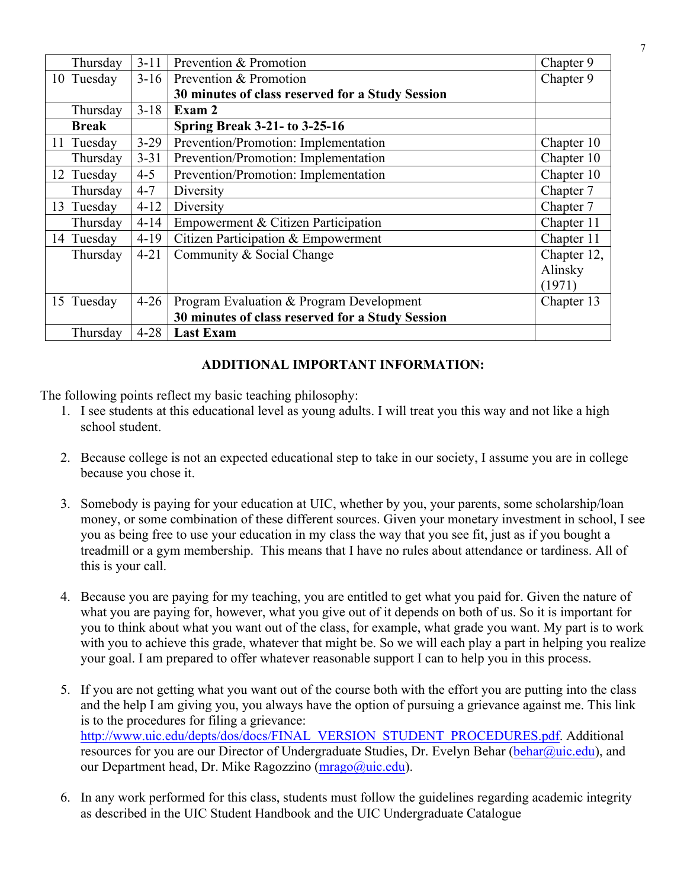| Thursday     | $3 - 11$ | Prevention & Promotion                           | Chapter 9   |
|--------------|----------|--------------------------------------------------|-------------|
| 10 Tuesday   | $3-16$   | Prevention & Promotion                           | Chapter 9   |
|              |          | 30 minutes of class reserved for a Study Session |             |
| Thursday     | $3 - 18$ | Exam 2                                           |             |
| <b>Break</b> |          | <b>Spring Break 3-21- to 3-25-16</b>             |             |
| 11 Tuesday   | $3 - 29$ | Prevention/Promotion: Implementation             | Chapter 10  |
| Thursday     | $3 - 31$ | Prevention/Promotion: Implementation             | Chapter 10  |
| 12 Tuesday   | $4 - 5$  | Prevention/Promotion: Implementation             | Chapter 10  |
| Thursday     | $4 - 7$  | Diversity                                        | Chapter 7   |
| 13 Tuesday   | $4 - 12$ | Diversity                                        | Chapter 7   |
| Thursday     | $4 - 14$ | Empowerment & Citizen Participation              | Chapter 11  |
| 14 Tuesday   | $4-19$   | Citizen Participation & Empowerment              | Chapter 11  |
| Thursday     | $4 - 21$ | Community & Social Change                        | Chapter 12, |
|              |          |                                                  | Alinsky     |
|              |          |                                                  | (1971)      |
| 15 Tuesday   | $4 - 26$ | Program Evaluation & Program Development         | Chapter 13  |
|              |          | 30 minutes of class reserved for a Study Session |             |
| Thursday     | $4 - 28$ | <b>Last Exam</b>                                 |             |

### **ADDITIONAL IMPORTANT INFORMATION:**

The following points reflect my basic teaching philosophy:

- 1. I see students at this educational level as young adults. I will treat you this way and not like a high school student.
- 2. Because college is not an expected educational step to take in our society, I assume you are in college because you chose it.
- 3. Somebody is paying for your education at UIC, whether by you, your parents, some scholarship/loan money, or some combination of these different sources. Given your monetary investment in school, I see you as being free to use your education in my class the way that you see fit, just as if you bought a treadmill or a gym membership. This means that I have no rules about attendance or tardiness. All of this is your call.
- 4. Because you are paying for my teaching, you are entitled to get what you paid for. Given the nature of what you are paying for, however, what you give out of it depends on both of us. So it is important for you to think about what you want out of the class, for example, what grade you want. My part is to work with you to achieve this grade, whatever that might be. So we will each play a part in helping you realize your goal. I am prepared to offer whatever reasonable support I can to help you in this process.
- 5. If you are not getting what you want out of the course both with the effort you are putting into the class and the help I am giving you, you always have the option of pursuing a grievance against me. This link is to the procedures for filing a grievance: http://www.uic.edu/depts/dos/docs/FINAL\_VERSION\_STUDENT\_PROCEDURES.pdf. Additional resources for you are our Director of Undergraduate Studies, Dr. Evelyn Behar (behar@uic.edu), and our Department head, Dr. Mike Ragozzino (mrago@uic.edu).
- 6. In any work performed for this class, students must follow the guidelines regarding academic integrity as described in the UIC Student Handbook and the UIC Undergraduate Catalogue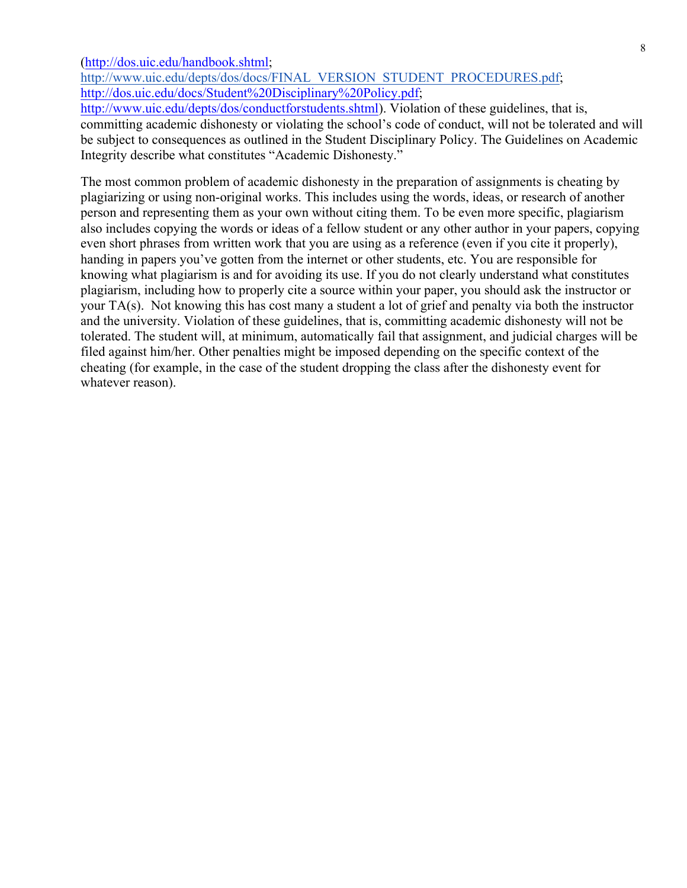(http://dos.uic.edu/handbook.shtml;

http://www.uic.edu/depts/dos/docs/FINAL\_VERSION\_STUDENT\_PROCEDURES.pdf; http://dos.uic.edu/docs/Student%20Disciplinary%20Policy.pdf;

http://www.uic.edu/depts/dos/conductforstudents.shtml). Violation of these guidelines, that is, committing academic dishonesty or violating the school's code of conduct, will not be tolerated and will be subject to consequences as outlined in the Student Disciplinary Policy. The Guidelines on Academic Integrity describe what constitutes "Academic Dishonesty."

The most common problem of academic dishonesty in the preparation of assignments is cheating by plagiarizing or using non-original works. This includes using the words, ideas, or research of another person and representing them as your own without citing them. To be even more specific, plagiarism also includes copying the words or ideas of a fellow student or any other author in your papers, copying even short phrases from written work that you are using as a reference (even if you cite it properly), handing in papers you've gotten from the internet or other students, etc. You are responsible for knowing what plagiarism is and for avoiding its use. If you do not clearly understand what constitutes plagiarism, including how to properly cite a source within your paper, you should ask the instructor or your TA(s). Not knowing this has cost many a student a lot of grief and penalty via both the instructor and the university. Violation of these guidelines, that is, committing academic dishonesty will not be tolerated. The student will, at minimum, automatically fail that assignment, and judicial charges will be filed against him/her. Other penalties might be imposed depending on the specific context of the cheating (for example, in the case of the student dropping the class after the dishonesty event for whatever reason).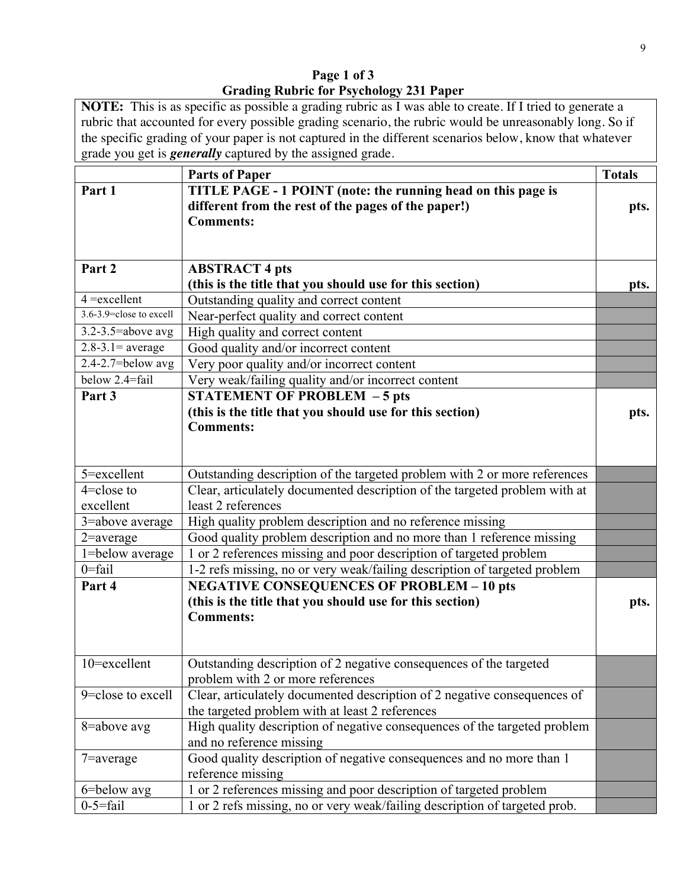**Page 1 of 3 Grading Rubric for Psychology 231 Paper** 

**NOTE:** This is as specific as possible a grading rubric as I was able to create. If I tried to generate a rubric that accounted for every possible grading scenario, the rubric would be unreasonably long. So if the specific grading of your paper is not captured in the different scenarios below, know that whatever grade you get is *generally* captured by the assigned grade.

|                         | <b>Parts of Paper</b>                                                      | <b>Totals</b> |
|-------------------------|----------------------------------------------------------------------------|---------------|
| Part 1                  | TITLE PAGE - 1 POINT (note: the running head on this page is               |               |
|                         | different from the rest of the pages of the paper!)                        | pts.          |
|                         | <b>Comments:</b>                                                           |               |
|                         |                                                                            |               |
|                         |                                                                            |               |
| Part 2                  | <b>ABSTRACT 4 pts</b>                                                      |               |
|                         | (this is the title that you should use for this section)                   | pts.          |
| $4 =$ excellent         | Outstanding quality and correct content                                    |               |
| 3.6-3.9=close to excell | Near-perfect quality and correct content                                   |               |
| $3.2 - 3.5$ =above avg  | High quality and correct content                                           |               |
| $2.8 - 3.1 = average$   | Good quality and/or incorrect content                                      |               |
| $2.4 - 2.7 =$ below avg | Very poor quality and/or incorrect content                                 |               |
| below 2.4=fail          | Very weak/failing quality and/or incorrect content                         |               |
| Part 3                  | <b>STATEMENT OF PROBLEM - 5 pts</b>                                        |               |
|                         | (this is the title that you should use for this section)                   | pts.          |
|                         | <b>Comments:</b>                                                           |               |
|                         |                                                                            |               |
|                         |                                                                            |               |
| 5=excellent             | Outstanding description of the targeted problem with 2 or more references  |               |
| $4 =$ close to          | Clear, articulately documented description of the targeted problem with at |               |
| excellent               | least 2 references                                                         |               |
| 3=above average         | High quality problem description and no reference missing                  |               |
| $2$ =average            | Good quality problem description and no more than 1 reference missing      |               |
| 1=below average         | 1 or 2 references missing and poor description of targeted problem         |               |
| $0 = fail$              | 1-2 refs missing, no or very weak/failing description of targeted problem  |               |
| Part 4                  | <b>NEGATIVE CONSEQUENCES OF PROBLEM - 10 pts</b>                           |               |
|                         | (this is the title that you should use for this section)                   | pts.          |
|                         | <b>Comments:</b>                                                           |               |
|                         |                                                                            |               |
|                         |                                                                            |               |
| 10=excellent            | Outstanding description of 2 negative consequences of the targeted         |               |
|                         | problem with 2 or more references                                          |               |
| 9=close to excell       | Clear, articulately documented description of 2 negative consequences of   |               |
|                         | the targeted problem with at least 2 references                            |               |
| $8 =$ above avg         | High quality description of negative consequences of the targeted problem  |               |
|                         | and no reference missing                                                   |               |
| $7$ =average            | Good quality description of negative consequences and no more than 1       |               |
|                         | reference missing                                                          |               |
| 6=below avg             | 1 or 2 references missing and poor description of targeted problem         |               |
| $0-5=$ fail             | 1 or 2 refs missing, no or very weak/failing description of targeted prob. |               |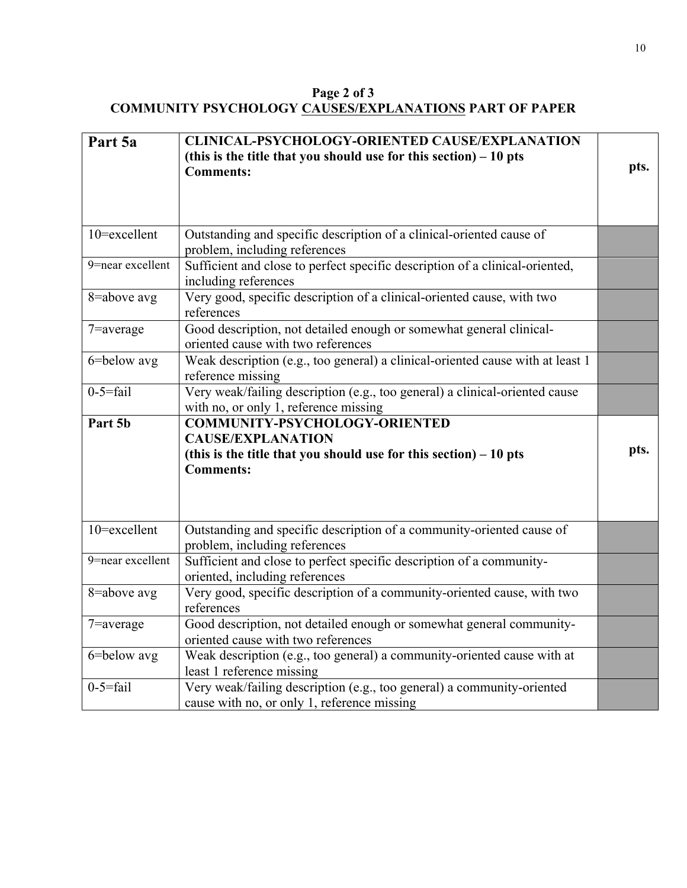**Page 2 of 3 COMMUNITY PSYCHOLOGY CAUSES/EXPLANATIONS PART OF PAPER**

| Part 5a             | <b>CLINICAL-PSYCHOLOGY-ORIENTED CAUSE/EXPLANATION</b>                                                                 |      |
|---------------------|-----------------------------------------------------------------------------------------------------------------------|------|
|                     | (this is the title that you should use for this section) $-10$ pts<br><b>Comments:</b>                                | pts. |
|                     |                                                                                                                       |      |
| 10=excellent        | Outstanding and specific description of a clinical-oriented cause of<br>problem, including references                 |      |
| $9$ =near excellent | Sufficient and close to perfect specific description of a clinical-oriented,<br>including references                  |      |
| 8=above avg         | Very good, specific description of a clinical-oriented cause, with two<br>references                                  |      |
| $7$ =average        | Good description, not detailed enough or somewhat general clinical-<br>oriented cause with two references             |      |
| 6=below avg         | Weak description (e.g., too general) a clinical-oriented cause with at least 1<br>reference missing                   |      |
| $0-5=$ fail         | Very weak/failing description (e.g., too general) a clinical-oriented cause<br>with no, or only 1, reference missing  |      |
| Part 5b             | COMMUNITY-PSYCHOLOGY-ORIENTED                                                                                         |      |
|                     | <b>CAUSE/EXPLANATION</b>                                                                                              |      |
|                     | (this is the title that you should use for this section) $-10$ pts                                                    | pts. |
|                     | <b>Comments:</b>                                                                                                      |      |
|                     |                                                                                                                       |      |
| 10=excellent        | Outstanding and specific description of a community-oriented cause of<br>problem, including references                |      |
| 9=near excellent    | Sufficient and close to perfect specific description of a community-<br>oriented, including references                |      |
| 8=above avg         | Very good, specific description of a community-oriented cause, with two<br>references                                 |      |
| $7$ =average        | Good description, not detailed enough or somewhat general community-<br>oriented cause with two references            |      |
| 6=below avg         | Weak description (e.g., too general) a community-oriented cause with at<br>least 1 reference missing                  |      |
| $0-5=$ fail         | Very weak/failing description (e.g., too general) a community-oriented<br>cause with no, or only 1, reference missing |      |